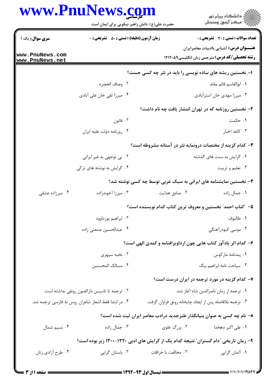|                                    | www.PnuNews.com<br>حضرت علی(ع): دانش راهبر نیکویی برای ایمان است                    |                                                          | ڪ دانشڪاه پيام نور<br> 7- مرڪز آزمون وسنڊش                                                      |  |  |
|------------------------------------|-------------------------------------------------------------------------------------|----------------------------------------------------------|-------------------------------------------------------------------------------------------------|--|--|
| سری سوال: یک ۱                     | <b>زمان آزمون (دقیقه) : تستی : 50 ٪ تشریحی : 0</b>                                  |                                                          | <b>تعداد سوالات : تستي : 30 ٪ تشريحي : 0</b><br><b>عنـــوان درس:</b> آشنایی باادبیات معاصرایران |  |  |
| www.PnuNews.com<br>www.PnuNews.net |                                                                                     |                                                          | <b>رشته تحصیلی/کد درس:</b> مترجمی زبان انگلیسی۹۵۲۱۲۰۵۹                                          |  |  |
|                                    |                                                                                     | ۱– نخستین ریشه های ساده نویسی را باید در نثر چه کسی جست؟ |                                                                                                 |  |  |
|                                    | ٢. وصاف الحضره                                                                      |                                                          | ٠١. ابوالقاسم قائم مقام                                                                         |  |  |
|                                    | ۰۴ میرزا تقی خان علی آبادی                                                          |                                                          | ۰۳ میرزا مهدی خان استرآبادی                                                                     |  |  |
|                                    |                                                                                     |                                                          | ۲– نخستین روزنامه که در تهران انتشار یافت چه نام داشت؟                                          |  |  |
|                                    | ۰۲ قانون                                                                            |                                                          | ۰۱ حکمت                                                                                         |  |  |
|                                    | ۰۴ روزنامه دولت عليه ايران                                                          |                                                          | ۰۳ کاغذ اخبار                                                                                   |  |  |
|                                    |                                                                                     |                                                          | ۳- کدام گزینه از مختصات درونمایه نثر در آستانه مشروطه است؟                                      |  |  |
|                                    | ۰۲ بی توجهی به غیر ایرانی                                                           |                                                          | ۰۱ گرایش به سنت های گذشته                                                                       |  |  |
|                                    | ۰۴ گرایش به نوشته های ترکی                                                          |                                                          | ۰۳ تعلیم و تربیت                                                                                |  |  |
|                                    |                                                                                     |                                                          | ۴- نخستین نمایشنامه های ایرانی به سبک غربی توسط چه کسی نوشته شد؟                                |  |  |
| ۰۴ میرزاده عشقی                    | ۰۳ میرزا آخوندزاده                                                                  | ٠٢ صادق هدايت                                            | ٠١ جمال زاده                                                                                    |  |  |
|                                    |                                                                                     |                                                          | ۵– ″کتاب احمد″ نخستین و معروف ترین کتاب کدام نویسنده است؟                                       |  |  |
|                                    | ٠٢ ابراهيم پورداوود                                                                 |                                                          | ٠١. طالبوف                                                                                      |  |  |
|                                    | ۰۴ عبدالحسین صنعتی زاده                                                             |                                                          | ۰۳ موسی کبودرآهنگی                                                                              |  |  |
|                                    |                                                                                     |                                                          | ۶– کدام اثر یادآور کتاب هایی چون ارداویرافنامه و کمدی الهی است؟                                 |  |  |
|                                    | ۰۲ نخبه سپهري                                                                       |                                                          | ٠١. پندنامه ماركوس                                                                              |  |  |
|                                    | ۰۴ مسالک المحسنین                                                                   |                                                          | ۰۳ سیاحت نامه ابراهیم بیگ                                                                       |  |  |
|                                    |                                                                                     |                                                          | ۷- کدام گزینه در مورد ترجمه در ایران درست است؟                                                  |  |  |
|                                    | ۰۲ ترجمه تا تاسیس دارالفنون رونقی نداشته است.                                       |                                                          | ٠١ ترجمه از زمان ناصرالدين شاه آغاز شد.                                                         |  |  |
|                                    | ۰۴ در ابتدا فقط اشعار شاعران روس به فارسی ترجمه شد.                                 |                                                          | ۰۳ ترجمه بلافاصله پس از ایجاد چاپخانه رونق فراوان گرفت.                                         |  |  |
|                                    |                                                                                     |                                                          | ۸– نام چه کسی به عنوان بنیانگذار طنزجدید درادب معاصر ایران ثبت شده است؟                         |  |  |
| ۰۴ نسیم شمال                       | ۰۳ جمال زاده                                                                        | ۲. بزرگ علوی                                             | ۰۱ علی اکبر دهخدا                                                                               |  |  |
|                                    | ۹- رمان تاریخی "دام گستران" نتیجه کدام یک از گرایش های ادبی ۱۳۲۰-۱۳۰۰ زیر بوده است؟ |                                                          |                                                                                                 |  |  |
| ۰۴ طرح أزادي زنان                  | ۰۳ باستان گرایی                                                                     | ۰۲ مخالفت با خرافات                                      | ۰۱ آلمان گرایی                                                                                  |  |  |
|                                    |                                                                                     |                                                          |                                                                                                 |  |  |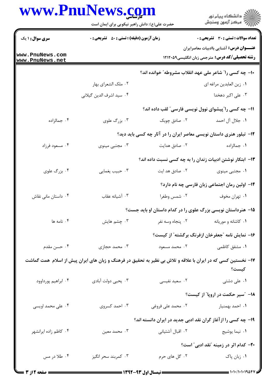## WWW PnuNaws com

|                                    | حضرت علی(ع): دانش راهبر نیکویی برای ایمان است                                                                |                   | ≦ دانشڪاه پيام نور<br>7 مرڪز آزمون وسنڊش                                                                 |
|------------------------------------|--------------------------------------------------------------------------------------------------------------|-------------------|----------------------------------------------------------------------------------------------------------|
| <b>سری سوال : ۱ یک</b>             | <b>زمان آزمون (دقیقه) : تستی : 50 ٪ تشریحی : 0</b>                                                           |                   | <b>تعداد سوالات : تستی : 30 ٪ تشریحی : 0</b>                                                             |
| www.PnuNews.com<br>www.PnuNews.net |                                                                                                              |                   | <b>عنـــوان درس:</b> آشنایی باادبیات معاصرایران<br><b>رشته تحصیلی/کد درس:</b> مترجمی زبان انگلیسی۹۲۱۲۰۵۹ |
|                                    |                                                                                                              |                   | ۱۰– چه کسی را" شاعر ملی عهد انقلاب مشروطه" خوانده اند؟                                                   |
|                                    | ۰۲ ملک الشعرای بهار                                                                                          |                   | ٠١. زين العابدين مراغه اي                                                                                |
|                                    | ۰۴ سيد اشرف الدين گيلاني                                                                                     |                   | ۰۳ علی اکبر دهخدا                                                                                        |
|                                    |                                                                                                              |                   | 1۱- چه کسی را ّپیشوای نوول نویسی فارسی ّ لقب داده اند؟                                                   |
| ۰۴ جمالزاده                        | ۰۳ بزرگ علوی                                                                                                 | ۰۲ صادق چوبک      | ١. جلال آل احمد                                                                                          |
|                                    |                                                                                                              |                   | ۱۲- تبلور هنری داستان نویسی معاصر ایران را در آثار چه کسی باید دید؟                                      |
| ۰۴ مسعود فرزاد                     | ۰۳ مجتبی مینوی                                                                                               | ۰۲ صادق هدایت     | ۰۱ جمالزاده                                                                                              |
|                                    |                                                                                                              |                   | ۱۳– ابتکار نوشتن ادبیات زندان را به چه کسی نسبت داده اند؟                                                |
| ۰۴ بزرگ علوی                       | ۰۳ حبيب يغمايي                                                                                               | ۰۲ صادق هد ایت    | ۰۱ مجتبی مینوی                                                                                           |
|                                    |                                                                                                              |                   | 1۴– اولین رمان اجتماعی زبان فارسی چه نام دارد؟                                                           |
| ۰۴ داستان مانی نقاش                | ٠٣ آشيانه عقاب                                                                                               | ۰۲ شمس وطغرا      | ٠١ تهران مخوف                                                                                            |
|                                    |                                                                                                              |                   | ۱۵– هنرداستان نویسی بزرگ علوی را در کدام داستان او باید جست؟                                             |
| ۰۴ نامه ها                         | ۰۳ چشم هایش                                                                                                  | ۰۲ پنجاه وسه نفر  | ٠١ كاشانه و موريانه                                                                                      |
|                                    |                                                                                                              |                   | ۱۶– نمایش نامه "جعفرخان ازفرنگ برگشته" از کیست؟                                                          |
| ۰۴ حسن مقدم                        | ۰۳ محمد حجازی                                                                                                | ۰۲ محمد مسعود     | ۰۱ مشفق کاظمی                                                                                            |
|                                    | ۱۷– نخستین کسی که در ایران با علاقه و تلاش بی نظیر به تحقیق در فرهنگ و زبان های ایران پیش از اسلام همت گماشت |                   | كيست؟                                                                                                    |
| ۰۴ ابراهيم پورداوود                | ۰۳ يحيى دولت آبادي                                                                                           | ۰۲ سعید نفیسی     | ۰۱ علی دشتی                                                                                              |
|                                    |                                                                                                              |                   | ۱۸– ″سیر حکمت در اروپا″ از کیست؟                                                                         |
| ۰۴ علی محمد اویسی                  | ۰۳ احمد کسروی                                                                                                | ۰۲ محمد علی فروغی | ۰۱ احمد بهمنيار                                                                                          |
|                                    |                                                                                                              |                   | ۱۹- چه کسی را از آغاز گران نقد ادبی جدید در ایران دانسته اند؟                                            |
| ۰۴ كاظم زاده ايرانشهر              | ۰۳ محمد معين                                                                                                 | ۰۲ اقبال آشتیانی  | ۰۱ نیما یوشیج                                                                                            |
|                                    |                                                                                                              |                   | <b>۳۰</b> - کدام اثر در زمینه "نقد ادبی" است؟                                                            |
| ۰۴ طلا در مس                       | ۰۳ کمربند سحر انگیز                                                                                          | ۰۲ گل های حرم     | ۰۱ زبان پاک                                                                                              |
|                                    |                                                                                                              |                   |                                                                                                          |